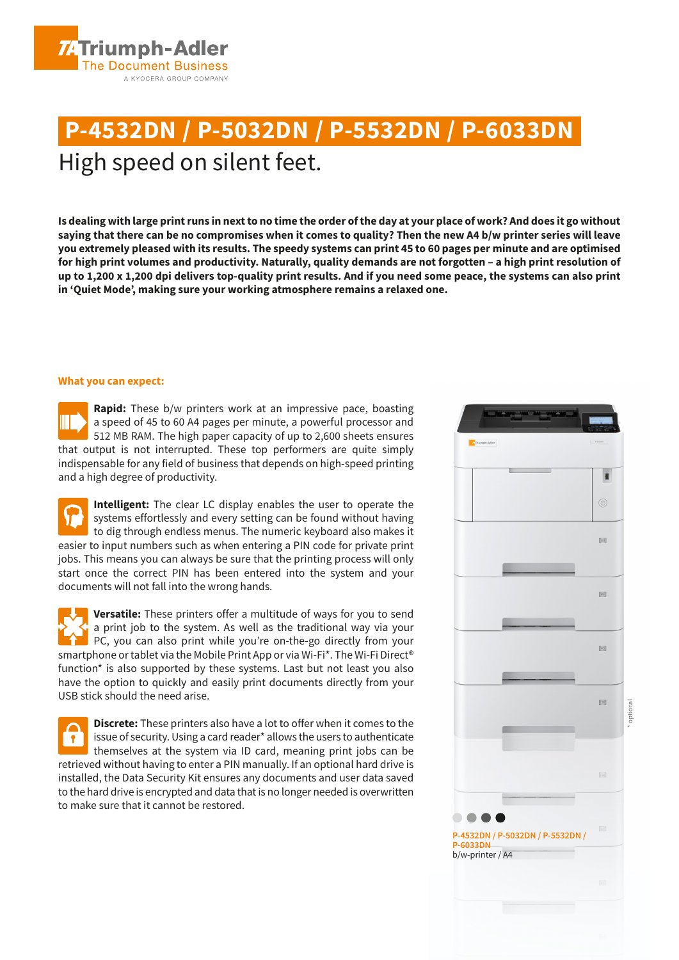

# **P-4532DN / P-5032DN / P-5532DN / P-6033DN** High speed on silent feet.

**Is dealing with large print runs in next to no time the order of the day at your place of work? And does it go without saying that there can be no compromises when it comes to quality? Then the new A4 b/w printer series will leave you extremely pleased with its results. The speedy systems can print 45 to 60 pages per minute and are optimised for high print volumes and productivity. Naturally, quality demands are not forgotten – a high print resolution of up to 1,200 x 1,200 dpi delivers top-quality print results. And if you need some peace, the systems can also print in 'Quiet Mode', making sure your working atmosphere remains a relaxed one.**

#### **What you can expect:**

**Rapid:** These b/w printers work at an impressive pace, boasting a speed of 45 to 60 A4 pages per minute, a powerful processor and 512 MB RAM. The high paper capacity of up to 2,600 sheets ensures that output is not interrupted. These top performers are quite simply indispensable for any field of business that depends on high-speed printing and a high degree of productivity.

**Intelligent:** The clear LC display enables the user to operate the systems effortlessly and every setting can be found without having to dig through endless menus. The numeric keyboard also makes it easier to input numbers such as when entering a PIN code for private print jobs. This means you can always be sure that the printing process will only start once the correct PIN has been entered into the system and your documents will not fall into the wrong hands.

**Versatile:** These printers offer a multitude of ways for you to send a print job to the system. As well as the traditional way via your PC, you can also print while you're on-the-go directly from your smartphone or tablet via the Mobile Print App or via Wi-Fi\*. The Wi-Fi Direct® function\* is also supported by these systems. Last but not least you also have the option to quickly and easily print documents directly from your USB stick should the need arise.

**Discrete:** These printers also have a lot to offer when it comes to the issue of security. Using a card reader\* allows the users to authenticate  $\mathbf{P}$ themselves at the system via ID card, meaning print jobs can be retrieved without having to enter a PIN manually. If an optional hard drive is installed, the Data Security Kit ensures any documents and user data saved to the hard drive is encrypted and data that is no longer needed is overwritten to make sure that it cannot be restored.